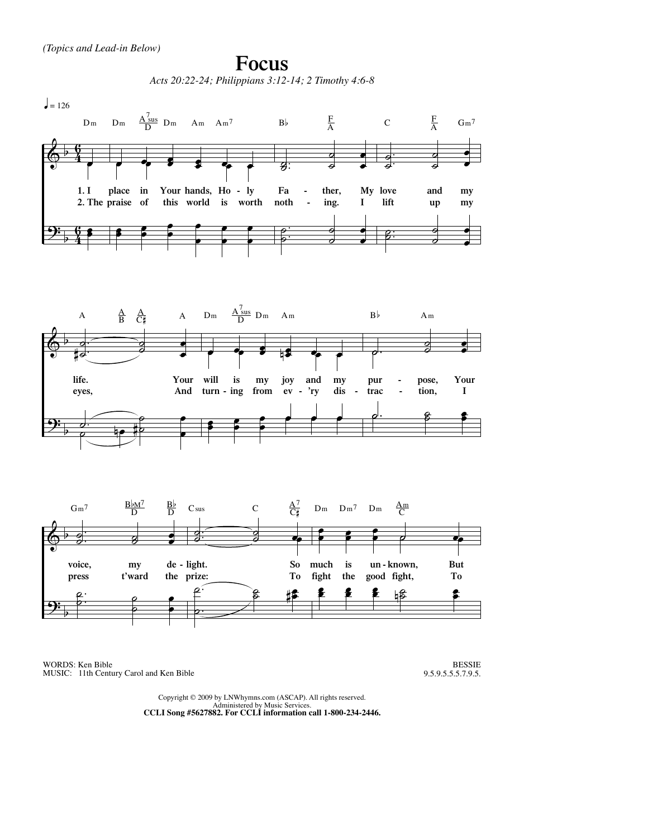

WORDS: Ken Bible MUSIC: 11th Century Carol and Ken Bible

BESSIE 9.5.9.5.5.5.7.9.5.

Copyright © 2009 by LNWhymns.com (ASCAP). All rights reserved. Administered by Music Services. **CCLI Song #5627882. For CCLI information call 1-800-234-2446.**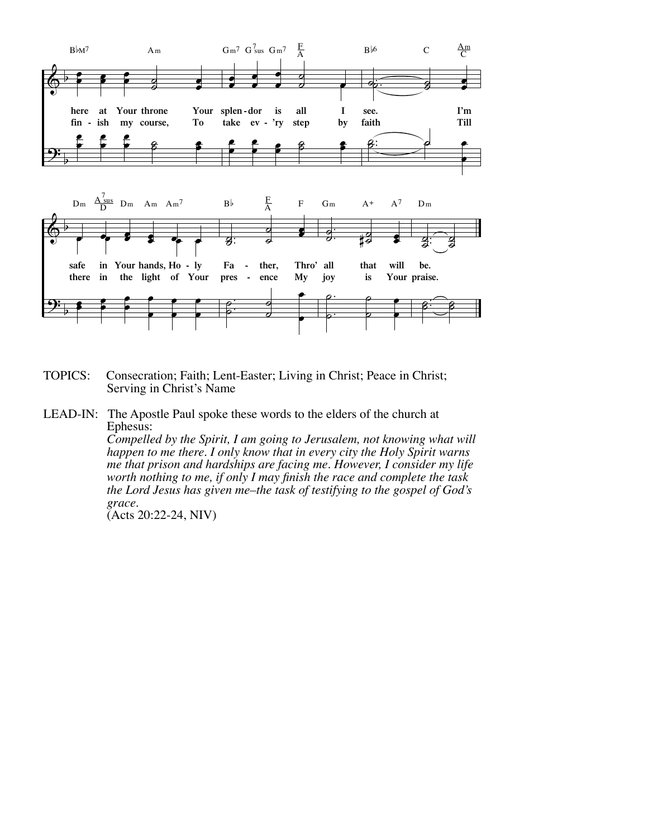

- TOPICS: Consecration; Faith; Lent-Easter; Living in Christ; Peace in Christ; Serving in Christ's Name
- LEAD-IN: The Apostle Paul spoke these words to the elders of the church at Ephesus:

 *Compelled by the Spirit, I am going to Jerusalem, not knowing what will happen to me there. I only know that in every city the Holy Spirit warns me that prison and hardships are facing me. However, I consider my life worth nothing to me, if only I may finish the race and complete the task the Lord Jesus has given me–the task of testifying to the gospel of God's grace.* 

(Acts 20:22-24, NIV)